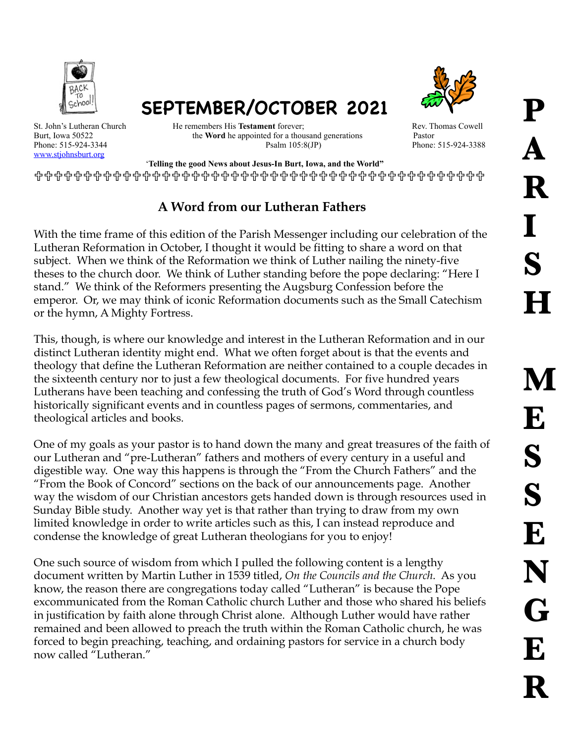

SEPTEMBER/OCTOBER 2021



[www.stjohnsburt.org](http://www.stjohnsburt.org)

St. John's Lutheran Church **He remembers His Testament** forever; Rev. Thomas Cowell Burt, Iowa 50522 the **Word** he appointed for a thousand generations Pastor<br>Phone: 515-924-3344 Pasalm 105:8(JP) Phone

Phone: 515-924-3388

 '**Telling the good News about Jesus-In Burt, Iowa, and the World"**  !!!!!!!!!!!!!!!!!!!!!!!!!!!!!!!!!!!!!!!!!!!!!!

## **A Word from our Lutheran Fathers**

With the time frame of this edition of the Parish Messenger including our celebration of the Lutheran Reformation in October, I thought it would be fitting to share a word on that subject. When we think of the Reformation we think of Luther nailing the ninety-five theses to the church door. We think of Luther standing before the pope declaring: "Here I stand." We think of the Reformers presenting the Augsburg Confession before the emperor. Or, we may think of iconic Reformation documents such as the Small Catechism or the hymn, A Mighty Fortress.

This, though, is where our knowledge and interest in the Lutheran Reformation and in our distinct Lutheran identity might end. What we often forget about is that the events and theology that define the Lutheran Reformation are neither contained to a couple decades in the sixteenth century nor to just a few theological documents. For five hundred years Lutherans have been teaching and confessing the truth of God's Word through countless historically significant events and in countless pages of sermons, commentaries, and theological articles and books.

One of my goals as your pastor is to hand down the many and great treasures of the faith of our Lutheran and "pre-Lutheran" fathers and mothers of every century in a useful and digestible way. One way this happens is through the "From the Church Fathers" and the "From the Book of Concord" sections on the back of our announcements page. Another way the wisdom of our Christian ancestors gets handed down is through resources used in Sunday Bible study. Another way yet is that rather than trying to draw from my own limited knowledge in order to write articles such as this, I can instead reproduce and condense the knowledge of great Lutheran theologians for you to enjoy!

One such source of wisdom from which I pulled the following content is a lengthy document written by Martin Luther in 1539 titled, *On the Councils and the Church*. As you know, the reason there are congregations today called "Lutheran" is because the Pope excommunicated from the Roman Catholic church Luther and those who shared his beliefs in justification by faith alone through Christ alone. Although Luther would have rather remained and been allowed to preach the truth within the Roman Catholic church, he was forced to begin preaching, teaching, and ordaining pastors for service in a church body now called "Lutheran."

**P**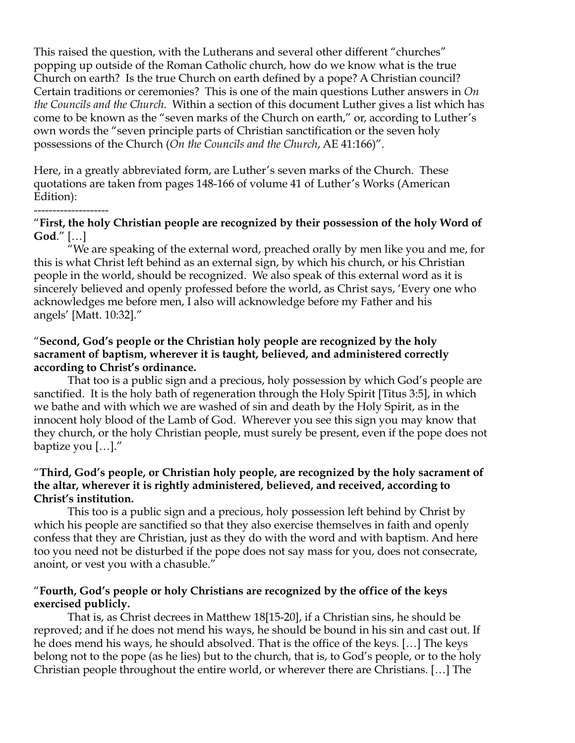This raised the question, with the Lutherans and several other different "churches" popping up outside of the Roman Catholic church, how do we know what is the true Church on earth? Is the true Church on earth defined by a pope? A Christian council? Certain traditions or ceremonies? This is one of the main questions Luther answers in *On the Councils and the Church*. Within a section of this document Luther gives a list which has come to be known as the "seven marks of the Church on earth," or, according to Luther's own words the "seven principle parts of Christian sanctification or the seven holy possessions of the Church (*On the Councils and the Church*, AE 41:166)".

Here, in a greatly abbreviated form, are Luther's seven marks of the Church. These quotations are taken from pages 148-166 of volume 41 of Luther's Works (American Edition):

#### -------------------- "**First, the holy Christian people are recognized by their possession of the holy Word of God**." […]

 "We are speaking of the external word, preached orally by men like you and me, for this is what Christ left behind as an external sign, by which his church, or his Christian people in the world, should be recognized. We also speak of this external word as it is sincerely believed and openly professed before the world, as Christ says, 'Every one who acknowledges me before men, I also will acknowledge before my Father and his angels' [Matt. 10:32]."

### "**Second, God's people or the Christian holy people are recognized by the holy sacrament of baptism, wherever it is taught, believed, and administered correctly according to Christ's ordinance.**

 That too is a public sign and a precious, holy possession by which God's people are sanctified. It is the holy bath of regeneration through the Holy Spirit [Titus 3:5], in which we bathe and with which we are washed of sin and death by the Holy Spirit, as in the innocent holy blood of the Lamb of God. Wherever you see this sign you may know that they church, or the holy Christian people, must surely be present, even if the pope does not baptize you […]."

#### "**Third, God's people, or Christian holy people, are recognized by the holy sacrament of the altar, wherever it is rightly administered, believed, and received, according to Christ's institution.**

 This too is a public sign and a precious, holy possession left behind by Christ by which his people are sanctified so that they also exercise themselves in faith and openly confess that they are Christian, just as they do with the word and with baptism. And here too you need not be disturbed if the pope does not say mass for you, does not consecrate, anoint, or vest you with a chasuble."

#### "**Fourth, God's people or holy Christians are recognized by the office of the keys exercised publicly.**

 That is, as Christ decrees in Matthew 18[15-20], if a Christian sins, he should be reproved; and if he does not mend his ways, he should be bound in his sin and cast out. If he does mend his ways, he should absolved. That is the office of the keys. […] The keys belong not to the pope (as he lies) but to the church, that is, to God's people, or to the holy Christian people throughout the entire world, or wherever there are Christians. […] The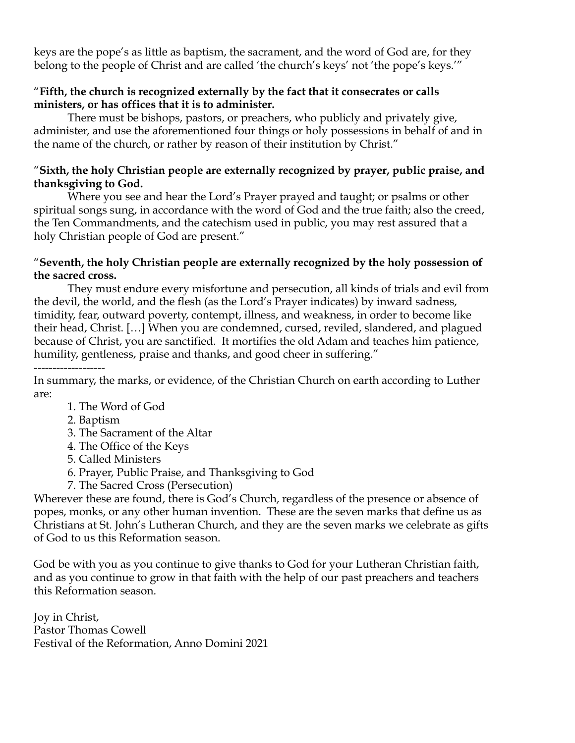keys are the pope's as little as baptism, the sacrament, and the word of God are, for they belong to the people of Christ and are called 'the church's keys' not 'the pope's keys.'"

#### "**Fifth, the church is recognized externally by the fact that it consecrates or calls ministers, or has offices that it is to administer.**

 There must be bishops, pastors, or preachers, who publicly and privately give, administer, and use the aforementioned four things or holy possessions in behalf of and in the name of the church, or rather by reason of their institution by Christ."

### "**Sixth, the holy Christian people are externally recognized by prayer, public praise, and thanksgiving to God.**

Where you see and hear the Lord's Prayer prayed and taught; or psalms or other spiritual songs sung, in accordance with the word of God and the true faith; also the creed, the Ten Commandments, and the catechism used in public, you may rest assured that a holy Christian people of God are present."

### "**Seventh, the holy Christian people are externally recognized by the holy possession of the sacred cross.**

 They must endure every misfortune and persecution, all kinds of trials and evil from the devil, the world, and the flesh (as the Lord's Prayer indicates) by inward sadness, timidity, fear, outward poverty, contempt, illness, and weakness, in order to become like their head, Christ. […] When you are condemned, cursed, reviled, slandered, and plagued because of Christ, you are sanctified. It mortifies the old Adam and teaches him patience, humility, gentleness, praise and thanks, and good cheer in suffering."

#### -------------------

In summary, the marks, or evidence, of the Christian Church on earth according to Luther are:

- 1. The Word of God
- 2. Baptism
- 3. The Sacrament of the Altar
- 4. The Office of the Keys
- 5. Called Ministers
- 6. Prayer, Public Praise, and Thanksgiving to God
- 7. The Sacred Cross (Persecution)

Wherever these are found, there is God's Church, regardless of the presence or absence of popes, monks, or any other human invention. These are the seven marks that define us as Christians at St. John's Lutheran Church, and they are the seven marks we celebrate as gifts of God to us this Reformation season.

God be with you as you continue to give thanks to God for your Lutheran Christian faith, and as you continue to grow in that faith with the help of our past preachers and teachers this Reformation season.

Joy in Christ, Pastor Thomas Cowell Festival of the Reformation, Anno Domini 2021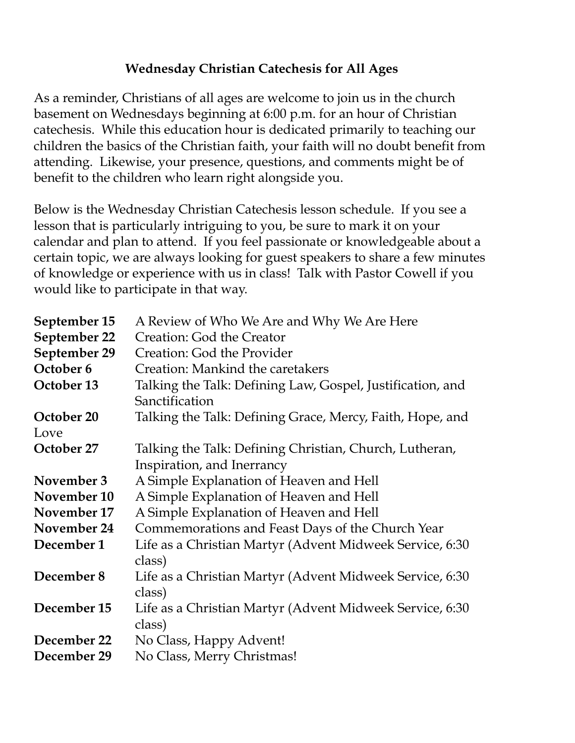# **Wednesday Christian Catechesis for All Ages**

As a reminder, Christians of all ages are welcome to join us in the church basement on Wednesdays beginning at 6:00 p.m. for an hour of Christian catechesis. While this education hour is dedicated primarily to teaching our children the basics of the Christian faith, your faith will no doubt benefit from attending. Likewise, your presence, questions, and comments might be of benefit to the children who learn right alongside you.

Below is the Wednesday Christian Catechesis lesson schedule. If you see a lesson that is particularly intriguing to you, be sure to mark it on your calendar and plan to attend. If you feel passionate or knowledgeable about a certain topic, we are always looking for guest speakers to share a few minutes of knowledge or experience with us in class! Talk with Pastor Cowell if you would like to participate in that way.

| September 15       | A Review of Who We Are and Why We Are Here                                            |
|--------------------|---------------------------------------------------------------------------------------|
| September 22       | Creation: God the Creator                                                             |
| September 29       | Creation: God the Provider                                                            |
| October 6          | Creation: Mankind the caretakers                                                      |
| October 13         | Talking the Talk: Defining Law, Gospel, Justification, and<br>Sanctification          |
| October 20<br>Love | Talking the Talk: Defining Grace, Mercy, Faith, Hope, and                             |
| October 27         | Talking the Talk: Defining Christian, Church, Lutheran,<br>Inspiration, and Inerrancy |
| November 3         | A Simple Explanation of Heaven and Hell                                               |
| November 10        | A Simple Explanation of Heaven and Hell                                               |
| November 17        | A Simple Explanation of Heaven and Hell                                               |
| November 24        | Commemorations and Feast Days of the Church Year                                      |
| December 1         | Life as a Christian Martyr (Advent Midweek Service, 6:30<br>class)                    |
| December 8         | Life as a Christian Martyr (Advent Midweek Service, 6:30<br>class)                    |
| December 15        | Life as a Christian Martyr (Advent Midweek Service, 6:30<br>class)                    |
| December 22        | No Class, Happy Advent!                                                               |
| December 29        | No Class, Merry Christmas!                                                            |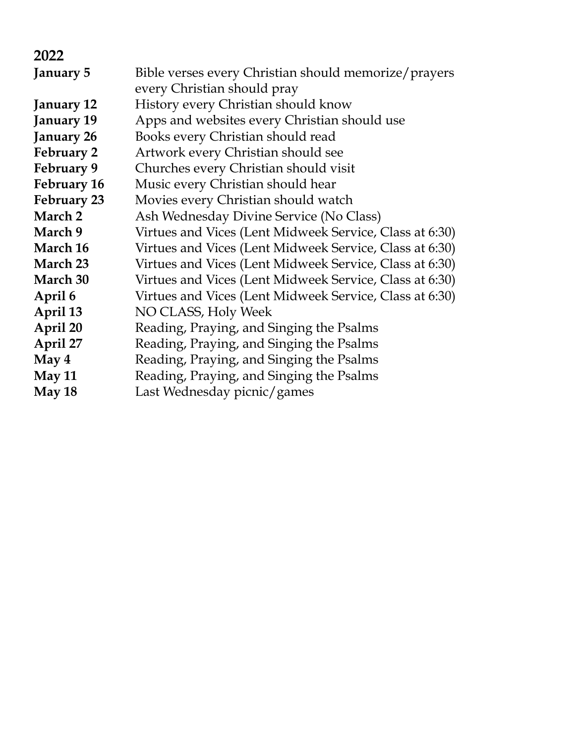| 2022               |                                                         |
|--------------------|---------------------------------------------------------|
| January 5          | Bible verses every Christian should memorize/prayers    |
|                    | every Christian should pray                             |
| January 12         | History every Christian should know                     |
| <b>January 19</b>  | Apps and websites every Christian should use            |
| January 26         | Books every Christian should read                       |
| <b>February 2</b>  | Artwork every Christian should see                      |
| February 9         | Churches every Christian should visit                   |
| <b>February 16</b> | Music every Christian should hear                       |
| <b>February 23</b> | Movies every Christian should watch                     |
| March 2            | Ash Wednesday Divine Service (No Class)                 |
| March 9            | Virtues and Vices (Lent Midweek Service, Class at 6:30) |
| March 16           | Virtues and Vices (Lent Midweek Service, Class at 6:30) |
| March 23           | Virtues and Vices (Lent Midweek Service, Class at 6:30) |
| March 30           | Virtues and Vices (Lent Midweek Service, Class at 6:30) |
| April 6            | Virtues and Vices (Lent Midweek Service, Class at 6:30) |
| April 13           | NO CLASS, Holy Week                                     |
| April 20           | Reading, Praying, and Singing the Psalms                |
| April 27           | Reading, Praying, and Singing the Psalms                |
| May 4              | Reading, Praying, and Singing the Psalms                |
| <b>May 11</b>      | Reading, Praying, and Singing the Psalms                |
| May 18             | Last Wednesday picnic/games                             |
|                    |                                                         |